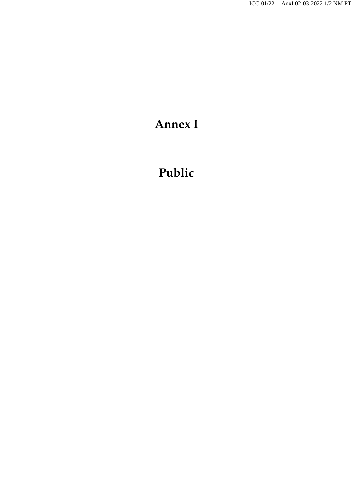## **Annex I**

## **Public**